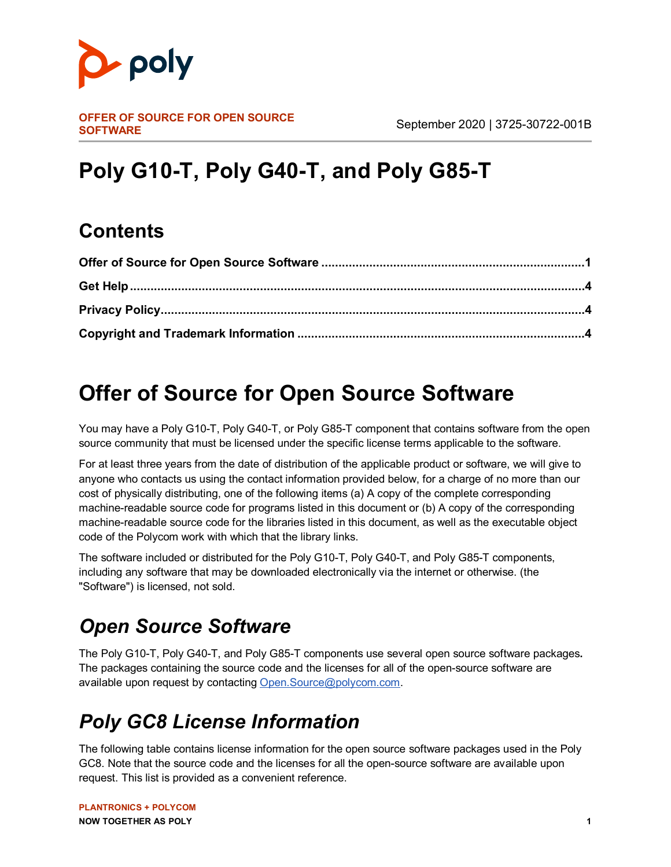

# **Poly G10-T, Poly G40-T, and Poly G85-T**

### **Contents**

## <span id="page-0-0"></span>**Offer of Source for Open Source Software**

You may have a Poly G10-T, Poly G40-T, or Poly G85-T component that contains software from the open source community that must be licensed under the specific license terms applicable to the software.

For at least three years from the date of distribution of the applicable product or software, we will give to anyone who contacts us using the contact information provided below, for a charge of no more than our cost of physically distributing, one of the following items (a) A copy of the complete corresponding machine-readable source code for programs listed in this document or (b) A copy of the corresponding machine-readable source code for the libraries listed in this document, as well as the executable object code of the Polycom work with which that the library links.

The software included or distributed for the Poly G10-T, Poly G40-T, and Poly G85-T components, including any software that may be downloaded electronically via the internet or otherwise. (the "Software") is licensed, not sold.

## *Open Source Software*

The Poly G10-T, Poly G40-T, and Poly G85-T components use several open source software packages**.**  The packages containing the source code and the licenses for all of the open-source software are available upon request by contacting O[pen.Source@polycom.com.](mailto:Open.Source@polycom.com)

## *Poly GC8 License Information*

The following table contains license information for the open source software packages used in the Poly GC8. Note that the source code and the licenses for all the open-source software are available upon request. This list is provided as a convenient reference.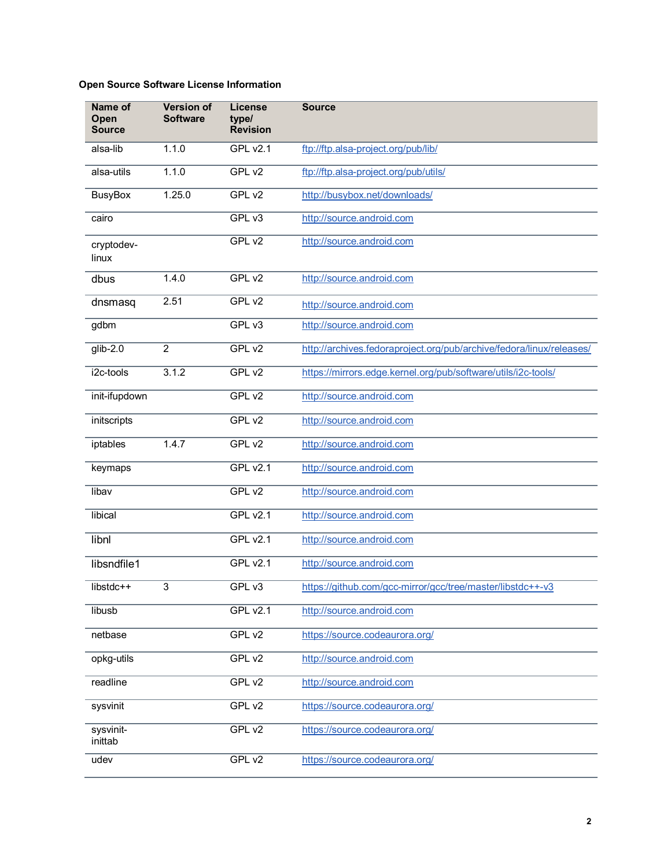#### **Open Source Software License Information**

| Name of<br>Open<br><b>Source</b> | <b>Version of</b><br><b>Software</b> | <b>License</b><br>type/<br><b>Revision</b> | <b>Source</b>                                                        |
|----------------------------------|--------------------------------------|--------------------------------------------|----------------------------------------------------------------------|
| alsa-lib                         | 1.1.0                                | <b>GPL v2.1</b>                            | ftp://ftp.alsa-project.org/pub/lib/                                  |
| alsa-utils                       | 1.1.0                                | GPL v2                                     | ftp://ftp.alsa-project.org/pub/utils/                                |
| <b>BusyBox</b>                   | 1.25.0                               | GPL v2                                     | http://busybox.net/downloads/                                        |
| cairo                            |                                      | GPL v3                                     | http://source.android.com                                            |
| cryptodev-<br>linux              |                                      | GPL v2                                     | http://source.android.com                                            |
| dbus                             | 1.4.0                                | GPL $v2$                                   | http://source.android.com                                            |
| dnsmasq                          | 2.51                                 | GPL v2                                     | http://source.android.com                                            |
| gdbm                             |                                      | GPL v3                                     | http://source.android.com                                            |
| $glib-2.0$                       | $\overline{2}$                       | GPL v2                                     | http://archives.fedoraproject.org/pub/archive/fedora/linux/releases/ |
| i2c-tools                        | 3.1.2                                | GPL v2                                     | https://mirrors.edge.kernel.org/pub/software/utils/i2c-tools/        |
| init-ifupdown                    |                                      | GPL v2                                     | http://source.android.com                                            |
| initscripts                      |                                      | GPL v2                                     | http://source.android.com                                            |
| iptables                         | 1.4.7                                | GPL v2                                     | http://source.android.com                                            |
| keymaps                          |                                      | <b>GPL v2.1</b>                            | http://source.android.com                                            |
| libav                            |                                      | GPL v2                                     | http://source.android.com                                            |
| libical                          |                                      | <b>GPL v2.1</b>                            | http://source.android.com                                            |
| libnl                            |                                      | <b>GPL v2.1</b>                            | http://source.android.com                                            |
| libsndfile1                      |                                      | <b>GPL v2.1</b>                            | http://source.android.com                                            |
| libstdc++                        | 3                                    | GPL v3                                     | https://github.com/gcc-mirror/gcc/tree/master/libstdc++-v3           |
| libusb                           |                                      | <b>GPL v2.1</b>                            | http://source.android.com                                            |
| netbase                          |                                      | GPL v2                                     | https://source.codeaurora.org/                                       |
| opkg-utils                       |                                      | GPL v2                                     | http://source.android.com                                            |
| readline                         |                                      | GPL v2                                     | http://source.android.com                                            |
| sysvinit                         |                                      | GPL v2                                     | https://source.codeaurora.org/                                       |
| sysvinit-<br>inittab             |                                      | GPL v <sub>2</sub>                         | https://source.codeaurora.org/                                       |
| udev                             |                                      | GPL v2                                     | https://source.codeaurora.org/                                       |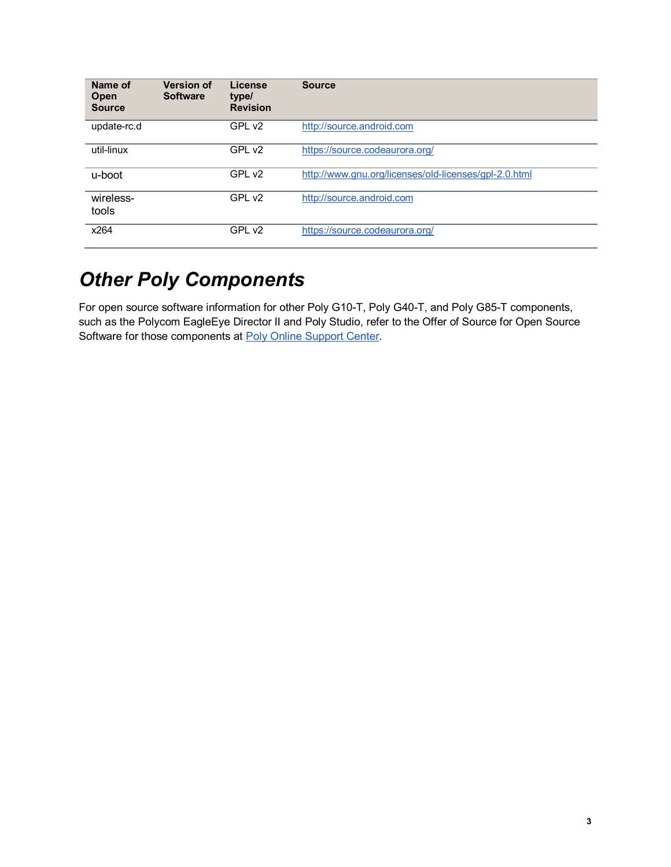| Name of<br>Open<br><b>Source</b> | <b>Version of</b><br><b>Software</b> | License<br>type/<br><b>Revision</b> | <b>Source</b>                                         |
|----------------------------------|--------------------------------------|-------------------------------------|-------------------------------------------------------|
| update-rc.d                      |                                      | GPL v2                              | http://source.android.com                             |
| util-linux                       |                                      | GPL v <sub>2</sub>                  | https://source.codeaurora.org/                        |
| u-boot                           |                                      | GPL v <sub>2</sub>                  | http://www.gnu.org/licenses/old-licenses/gpl-2.0.html |
| wireless-<br>tools               |                                      | GPL v2                              | http://source.android.com                             |
| x264                             |                                      | GPL v2                              | https://source.codeaurora.org/                        |

#### *Other Poly Components*

For open source software information for other Poly G10-T, Poly G40-T, and Poly G85-T components, such as the Polycom EagleEye Director II and Poly Studio, refer to the Offer of Source for Open Source Software for those components at [Poly Online Support Center.](https://support.polycom.com/content/support.html)